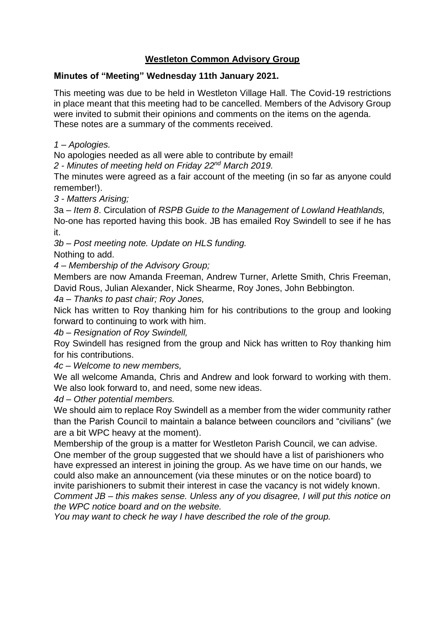## **Westleton Common Advisory Group**

### **Minutes of "Meeting" Wednesday 11th January 2021.**

This meeting was due to be held in Westleton Village Hall. The Covid-19 restrictions in place meant that this meeting had to be cancelled. Members of the Advisory Group were invited to submit their opinions and comments on the items on the agenda. These notes are a summary of the comments received.

*1 – Apologies.*

No apologies needed as all were able to contribute by email!

*2 - Minutes of meeting held on Friday 22nd March 2019.*

The minutes were agreed as a fair account of the meeting (in so far as anyone could remember!).

*3 - Matters Arising;*

3a – *Item 8*. Circulation of *RSPB Guide to the Management of Lowland Heathlands,* No-one has reported having this book. JB has emailed Roy Swindell to see if he has it.

*3b – Post meeting note. Update on HLS funding.*

Nothing to add.

*4 – Membership of the Advisory Group;*

Members are now Amanda Freeman, Andrew Turner, Arlette Smith, Chris Freeman, David Rous, Julian Alexander, Nick Shearme, Roy Jones, John Bebbington.

*4a – Thanks to past chair; Roy Jones,*

Nick has written to Roy thanking him for his contributions to the group and looking forward to continuing to work with him.

*4b – Resignation of Roy Swindell,*

Roy Swindell has resigned from the group and Nick has written to Roy thanking him for his contributions.

*4c – Welcome to new members,*

We all welcome Amanda, Chris and Andrew and look forward to working with them. We also look forward to, and need, some new ideas.

*4d – Other potential members.*

We should aim to replace Roy Swindell as a member from the wider community rather than the Parish Council to maintain a balance between councilors and "civilians" (we are a bit WPC heavy at the moment).

Membership of the group is a matter for Westleton Parish Council, we can advise. One member of the group suggested that we should have a list of parishioners who have expressed an interest in joining the group. As we have time on our hands, we could also make an announcement (via these minutes or on the notice board) to invite parishioners to submit their interest in case the vacancy is not widely known. *Comment JB – this makes sense. Unless any of you disagree, I will put this notice on the WPC notice board and on the website.* 

*You may want to check he way I have described the role of the group.*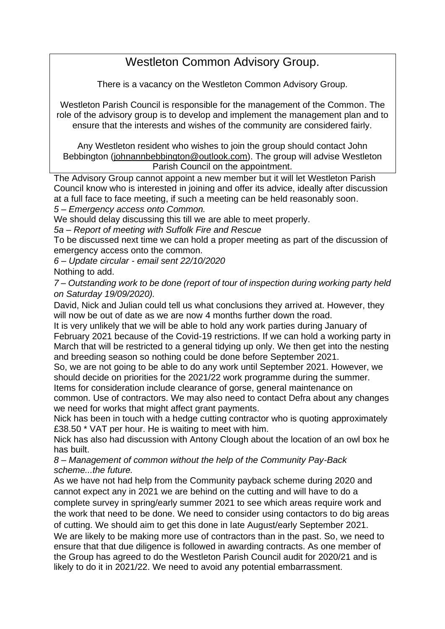# Westleton Common Advisory Group.

There is a vacancy on the Westleton Common Advisory Group.

Westleton Parish Council is responsible for the management of the Common. The role of the advisory group is to develop and implement the management plan and to ensure that the interests and wishes of the community are considered fairly.

Any Westleton resident who wishes to join the group should contact John Bebbington [\(johnannbebbington@outlook.com\)](mailto:johnannbebbington@outlook.com). The group will advise Westleton Parish Council on the appointment.

The Advisory Group cannot appoint a new member but it will let Westleton Parish Council know who is interested in joining and offer its advice, ideally after discussion at a full face to face meeting, if such a meeting can be held reasonably soon. *5 – Emergency access onto Common.*

We should delay discussing this till we are able to meet properly.

*5a – Report of meeting with Suffolk Fire and Rescue* 

To be discussed next time we can hold a proper meeting as part of the discussion of emergency access onto the common.

*6 – Update circular - email sent 22/10/2020* 

Nothing to add.

*7 – Outstanding work to be done (report of tour of inspection during working party held on Saturday 19/09/2020).*

David, Nick and Julian could tell us what conclusions they arrived at. However, they will now be out of date as we are now 4 months further down the road.

It is very unlikely that we will be able to hold any work parties during January of February 2021 because of the Covid-19 restrictions. If we can hold a working party in March that will be restricted to a general tidying up only. We then get into the nesting and breeding season so nothing could be done before September 2021.

So, we are not going to be able to do any work until September 2021. However, we should decide on priorities for the 2021/22 work programme during the summer. Items for consideration include clearance of gorse, general maintenance on

common. Use of contractors. We may also need to contact Defra about any changes we need for works that might affect grant payments.

Nick has been in touch with a hedge cutting contractor who is quoting approximately £38.50 \* VAT per hour. He is waiting to meet with him.

Nick has also had discussion with Antony Clough about the location of an owl box he has built.

*8 – Management of common without the help of the Community Pay-Back scheme...the future.*

As we have not had help from the Community payback scheme during 2020 and cannot expect any in 2021 we are behind on the cutting and will have to do a complete survey in spring/early summer 2021 to see which areas require work and the work that need to be done. We need to consider using contactors to do big areas of cutting. We should aim to get this done in late August/early September 2021. We are likely to be making more use of contractors than in the past. So, we need to ensure that that due diligence is followed in awarding contracts. As one member of the Group has agreed to do the Westleton Parish Council audit for 2020/21 and is likely to do it in 2021/22. We need to avoid any potential embarrassment.